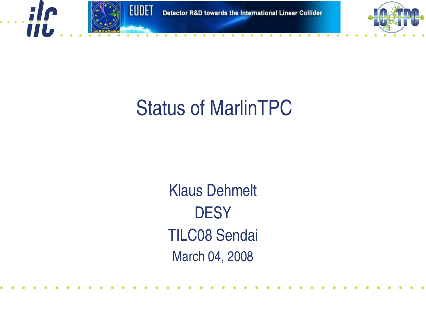

**TIL** 



### Status of MarlinTPC

Klaus Dehmelt **DESY** TILC08 Sendai March 04, 2008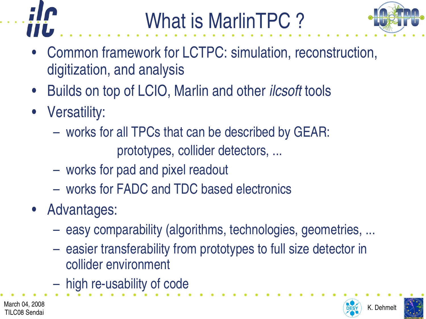



- Common framework for LCTPC: simulation, reconstruction, digitization, and analysis
- Builds on top of LCIO, Marlin and other *ilcsoft* tools
- Versatility:
	- works for all TPCs that can be described by GEAR:

prototypes, collider detectors, ...

- works for pad and pixel readout
- works for FADC and TDC based electronics
- Advantages:
	- easy comparability (algorithms, technologies, geometries, ...
	- easier transferability from prototypes to full size detector in collider environment
	- $-$  high re-usability of code



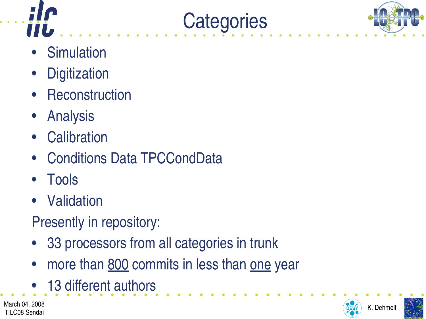



- **Simulation**
- **Digitization**
- **Reconstruction**
- **Analysis**
- Calibration
- Conditions Data TPCCondData
- Tools
- Validation
- Presently in repository:
- 33 processors from all categories in trunk
- more than 800 commits in less than one year

**Categories** 

13 different authors

March 04, 2008  $\overline{O_{ESY}}$  K. Dehmelt TILC08 Sendai



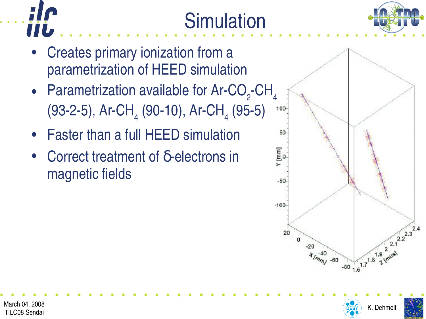

- **Simulation**
- Creates primary ionization from a parametrization of HEED simulation
- Parametrization available for Ar-CO<sub>2</sub>-CH<sub>4</sub> (93-2-5), Ar-CH<sub>4</sub> (90-10), Ar-CH<sub>4</sub> (95-5)
- Faster than a full HEED simulation
- Correct treatment of  $δ$ -electrons in magnetic fields







TILC08 Sendai

Ш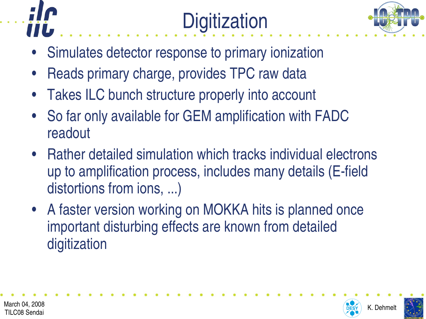





- Simulates detector response to primary ionization
- Reads primary charge, provides TPC raw data
- Takes ILC bunch structure properly into account
- So far only available for GEM amplification with FADC readout
- Rather detailed simulation which tracks individual electrons up to amplification process, includes many details (E-field distortions from ions, ...)
- A faster version working on MOKKA hits is planned once important disturbing effects are known from detailed digitization



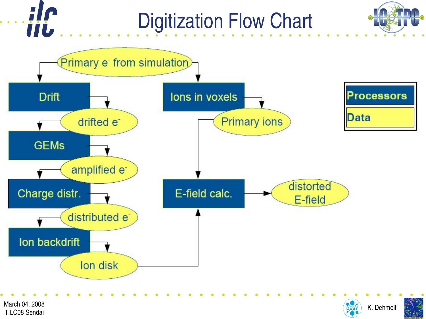## Digitization Flow Chart





TILC08 Sendai

**TIL**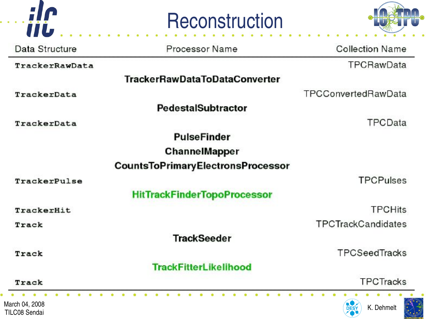





| Data Structure                         | Processor Name                           | <b>Collection Name</b>    |
|----------------------------------------|------------------------------------------|---------------------------|
| TrackerRawData                         |                                          | TPCRawData                |
|                                        | <b>TrackerRawDataToDataConverter</b>     |                           |
| TrackerData                            |                                          | TPCConvertedRawData       |
|                                        | <b>PedestalSubtractor</b>                |                           |
| TrackerData                            |                                          | TPCData                   |
|                                        | <b>PulseFinder</b>                       |                           |
|                                        | <b>ChannelMapper</b>                     |                           |
|                                        | <b>CountsToPrimaryElectronsProcessor</b> |                           |
| TrackerPulse                           |                                          | <b>TPCPulses</b>          |
|                                        | <b>HitTrackFinderTopoProcessor</b>       |                           |
| TrackerHit                             |                                          | <b>TPCHits</b>            |
| Track                                  |                                          | TPCTrackCandidates        |
|                                        | <b>TrackSeeder</b>                       |                           |
| Track                                  |                                          | TPCSeedTracks             |
|                                        | <b>TrackFitterLikelihood</b>             |                           |
| Track                                  |                                          | <b>TPCTracks</b>          |
| March 04, 2008<br><b>TILC08 Sendai</b> |                                          | K. Dehmelt<br><b>DESY</b> |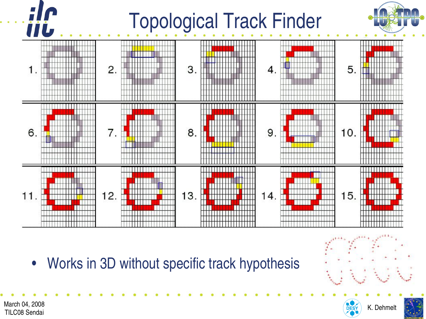# Topological Track Finder



• Works in 3D without specific track hypothesis

TILC08 Sendai



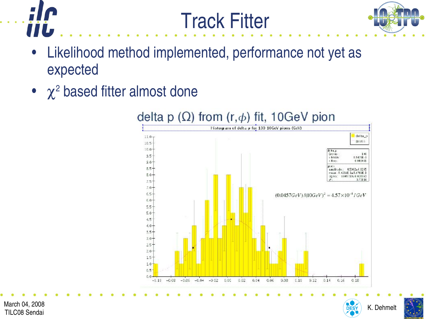

**IIL** 



- Likelihood method implemented, performance not yet as expected
- $\chi^2$  based fitter almost done



Track Fitter



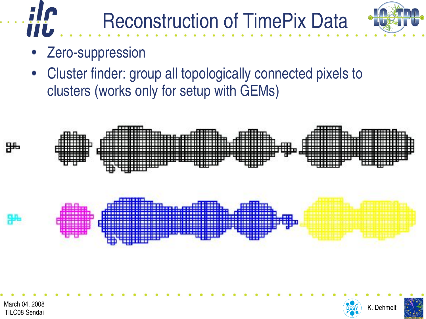

Zero-suppression

**IIL** 

• Cluster finder: group all topologically connected pixels to clusters (works only for setup with GEMs)

Reconstruction of TimePix Data



TILC08 Sendai



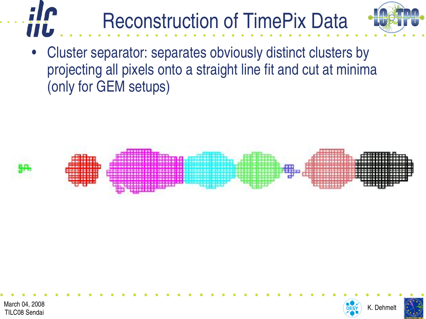#### Reconstruction of TimePix Data IIL



Cluster separator: separates obviously distinct clusters by projecting all pixels onto a straight line fit and cut at minima (only for GEM setups)







TILC08 Sendai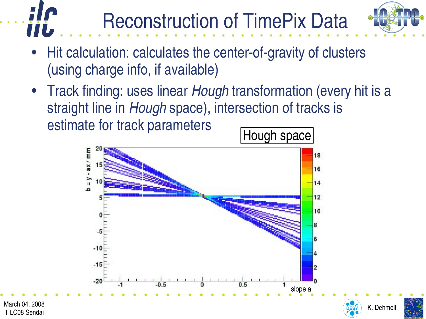

**HILL** Hit calculation: calculates the center-of-gravity of clusters (using charge info, if available)

Reconstruction of TimePix Data

• Track finding: uses linear *Hough* transformation (every hit is a straight line in *Hough* space), intersection of tracks is estimate for track parameters





TILC08 Sendai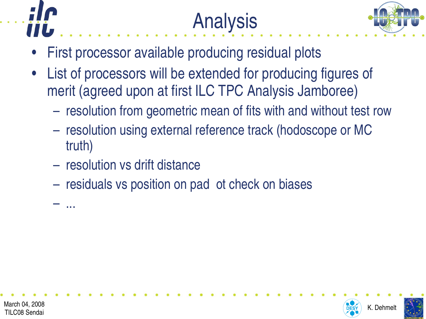





- First processor available producing residual plots
- List of processors will be extended for producing figures of merit (agreed upon at first ILC TPC Analysis Jamboree)
	- resolution from geometric mean of fits with and without test row
	- resolution using external reference track (hodoscope or MC truth)
	- resolution vs drift distance
	- residuals vs position on pad ot check on biases





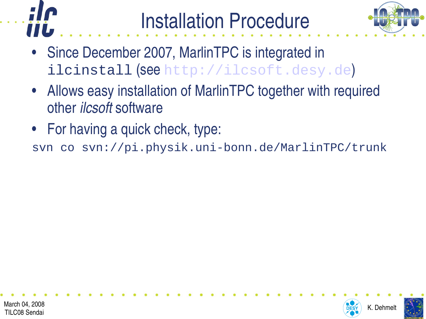



- Since December 2007, MarlinTPC is integrated in ilcinstall (see http://ilcsoft.desy.de)
- Allows easy installation of MarlinTPC together with required other *ilcsoft* software
- For having a quick check, type:

svn co svn://pi.physik.uni-bonn.de/MarlinTPC/trunk



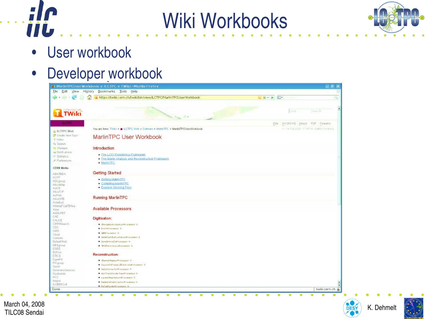



• User workbook

iji

#### • Developer workbook



March 04, 2008  $\overline{O_{ESY}}$  K. Dehmelt TILC08 Sendai



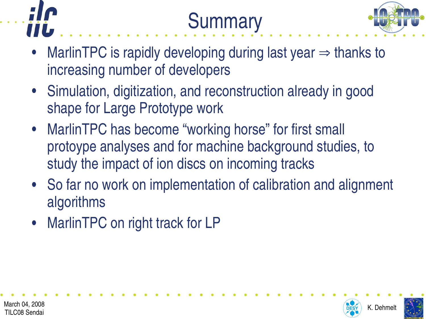





- MarlinTPC is rapidly developing during last year  $\Rightarrow$  thanks to increasing number of developers
- Simulation, digitization, and reconstruction already in good shape for Large Prototype work
- MarlinTPC has become "working horse" for first small protoype analyses and for machine background studies, to study the impact of ion discs on incoming tracks
- So far no work on implementation of calibration and alignment algorithms
- MarlinTPC on right track for LP





March 04, 2008  $\overline{O_{ESY}}$  K. Dehmelt TILC08 Sendai